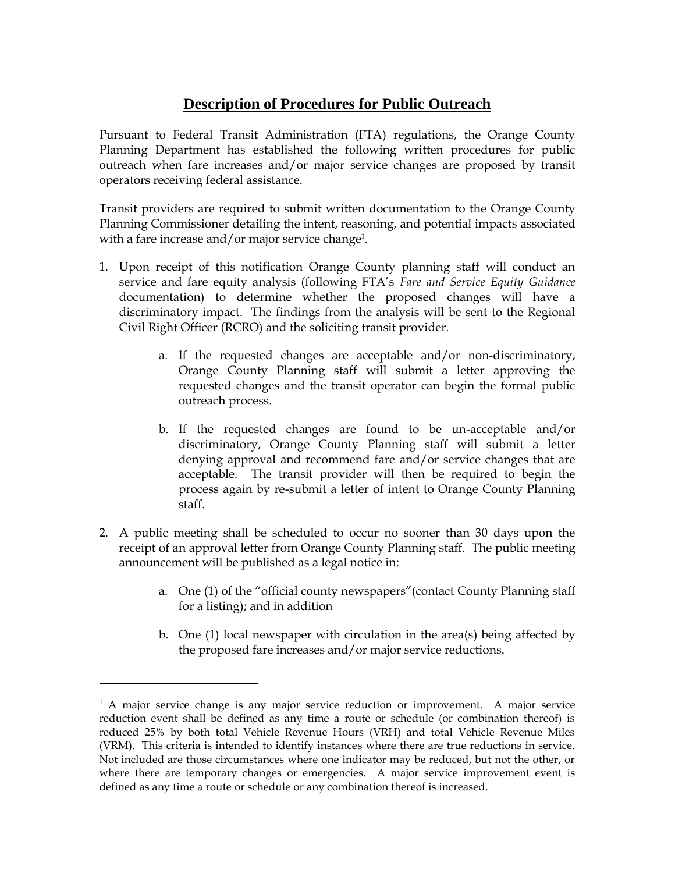## **Description of Procedures for Public Outreach**

Pursuant to Federal Transit Administration (FTA) regulations, the Orange County Planning Department has established the following written procedures for public outreach when fare increases and/or major service changes are proposed by transit operators receiving federal assistance.

Transit providers are required to submit written documentation to the Orange County Planning Commissioner detailing the intent, reasoning, and potential impacts associated with a fare increase and/or major service change<sup>1</sup>.

- 1. Upon receipt of this notification Orange County planning staff will conduct an service and fare equity analysis (following FTA's *Fare and Service Equity Guidance* documentation) to determine whether the proposed changes will have a discriminatory impact. The findings from the analysis will be sent to the Regional Civil Right Officer (RCRO) and the soliciting transit provider.
	- a. If the requested changes are acceptable and/or non-discriminatory, Orange County Planning staff will submit a letter approving the requested changes and the transit operator can begin the formal public outreach process.
	- b. If the requested changes are found to be un-acceptable and/or discriminatory, Orange County Planning staff will submit a letter denying approval and recommend fare and/or service changes that are acceptable. The transit provider will then be required to begin the process again by re-submit a letter of intent to Orange County Planning staff.
- 2. A public meeting shall be scheduled to occur no sooner than 30 days upon the receipt of an approval letter from Orange County Planning staff. The public meeting announcement will be published as a legal notice in:
	- a. One (1) of the "official county newspapers"(contact County Planning staff for a listing); and in addition
	- b. One (1) local newspaper with circulation in the area(s) being affected by the proposed fare increases and/or major service reductions.

 $\overline{a}$ 

<sup>&</sup>lt;sup>1</sup> A major service change is any major service reduction or improvement. A major service reduction event shall be defined as any time a route or schedule (or combination thereof) is reduced 25% by both total Vehicle Revenue Hours (VRH) and total Vehicle Revenue Miles (VRM). This criteria is intended to identify instances where there are true reductions in service. Not included are those circumstances where one indicator may be reduced, but not the other, or where there are temporary changes or emergencies. A major service improvement event is defined as any time a route or schedule or any combination thereof is increased.